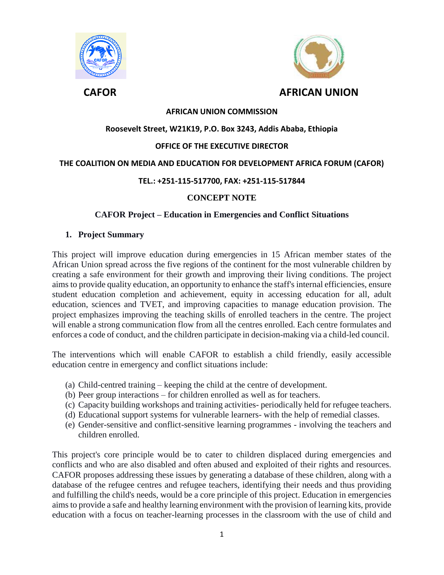

 **CAFOR AFRICAN UNION**

# **AFRICAN UNION COMMISSION**

# **Roosevelt Street, W21K19, P.O. Box 3243, Addis Ababa, Ethiopia**

# **OFFICE OF THE EXECUTIVE DIRECTOR**

#### **THE COALITION ON MEDIA AND EDUCATION FOR DEVELOPMENT AFRICA FORUM (CAFOR)**

#### **TEL.: +251-115-517700, FAX: +251-115-517844**

# **CONCEPT NOTE**

# **CAFOR Project – Education in Emergencies and Conflict Situations**

#### **1. Project Summary**

This project will improve education during emergencies in 15 African member states of the African Union spread across the five regions of the continent for the most vulnerable children by creating a safe environment for their growth and improving their living conditions. The project aims to provide quality education, an opportunity to enhance the staff's internal efficiencies, ensure student education completion and achievement, equity in accessing education for all, adult education, sciences and TVET, and improving capacities to manage education provision. The project emphasizes improving the teaching skills of enrolled teachers in the centre. The project will enable a strong communication flow from all the centres enrolled. Each centre formulates and enforces a code of conduct, and the children participate in decision-making via a child-led council.

The interventions which will enable CAFOR to establish a child friendly, easily accessible education centre in emergency and conflict situations include:

- (a) Child-centred training keeping the child at the centre of development.
- (b) Peer group interactions for children enrolled as well as for teachers.
- (c) Capacity building workshops and training activities- periodically held for refugee teachers.
- (d) Educational support systems for vulnerable learners- with the help of remedial classes.
- (e) Gender-sensitive and conflict-sensitive learning programmes involving the teachers and children enrolled.

This project's core principle would be to cater to children displaced during emergencies and conflicts and who are also disabled and often abused and exploited of their rights and resources. CAFOR proposes addressing these issues by generating a database of these children, along with a database of the refugee centres and refugee teachers, identifying their needs and thus providing and fulfilling the child's needs, would be a core principle of this project. Education in emergencies aims to provide a safe and healthy learning environment with the provision of learning kits, provide education with a focus on teacher-learning processes in the classroom with the use of child and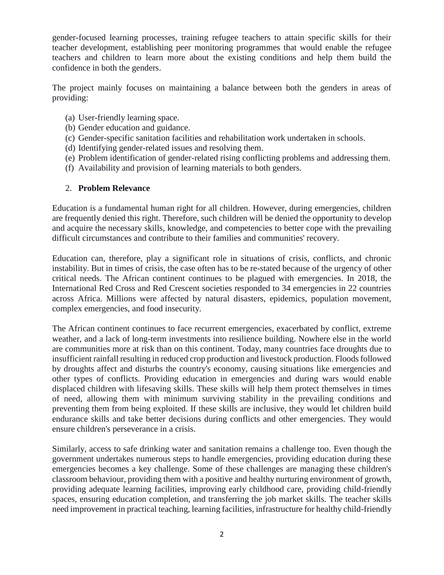gender-focused learning processes, training refugee teachers to attain specific skills for their teacher development, establishing peer monitoring programmes that would enable the refugee teachers and children to learn more about the existing conditions and help them build the confidence in both the genders.

The project mainly focuses on maintaining a balance between both the genders in areas of providing:

- (a) User-friendly learning space.
- (b) Gender education and guidance.
- (c) Gender-specific sanitation facilities and rehabilitation work undertaken in schools.
- (d) Identifying gender-related issues and resolving them.
- (e) Problem identification of gender-related rising conflicting problems and addressing them.
- (f) Availability and provision of learning materials to both genders.

# 2. **Problem Relevance**

Education is a fundamental human right for all children. However, during emergencies, children are frequently denied this right. Therefore, such children will be denied the opportunity to develop and acquire the necessary skills, knowledge, and competencies to better cope with the prevailing difficult circumstances and contribute to their families and communities' recovery.

Education can, therefore, play a significant role in situations of crisis, conflicts, and chronic instability. But in times of crisis, the case often has to be re-stated because of the urgency of other critical needs. The African continent continues to be plagued with emergencies. In 2018, the International Red Cross and Red Crescent societies responded to 34 emergencies in 22 countries across Africa. Millions were affected by natural disasters, epidemics, population movement, complex emergencies, and food insecurity.

The African continent continues to face recurrent emergencies, exacerbated by conflict, extreme weather, and a lack of long-term investments into resilience building. Nowhere else in the world are communities more at risk than on this continent. Today, many countries face droughts due to insufficient rainfall resulting in reduced crop production and livestock production. Floods followed by droughts affect and disturbs the country's economy, causing situations like emergencies and other types of conflicts. Providing education in emergencies and during wars would enable displaced children with lifesaving skills. These skills will help them protect themselves in times of need, allowing them with minimum surviving stability in the prevailing conditions and preventing them from being exploited. If these skills are inclusive, they would let children build endurance skills and take better decisions during conflicts and other emergencies. They would ensure children's perseverance in a crisis.

Similarly, access to safe drinking water and sanitation remains a challenge too. Even though the government undertakes numerous steps to handle emergencies, providing education during these emergencies becomes a key challenge. Some of these challenges are managing these children's classroom behaviour, providing them with a positive and healthy nurturing environment of growth, providing adequate learning facilities, improving early childhood care, providing child-friendly spaces, ensuring education completion, and transferring the job market skills. The teacher skills need improvement in practical teaching, learning facilities, infrastructure for healthy child-friendly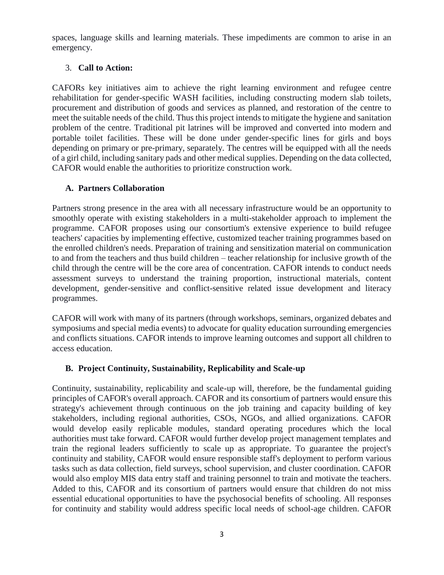spaces, language skills and learning materials. These impediments are common to arise in an emergency.

# 3. **Call to Action:**

CAFORs key initiatives aim to achieve the right learning environment and refugee centre rehabilitation for gender-specific WASH facilities, including constructing modern slab toilets, procurement and distribution of goods and services as planned, and restoration of the centre to meet the suitable needs of the child. Thus this project intends to mitigate the hygiene and sanitation problem of the centre. Traditional pit latrines will be improved and converted into modern and portable toilet facilities. These will be done under gender-specific lines for girls and boys depending on primary or pre-primary, separately. The centres will be equipped with all the needs of a girl child, including sanitary pads and other medical supplies. Depending on the data collected, CAFOR would enable the authorities to prioritize construction work.

# **A. Partners Collaboration**

Partners strong presence in the area with all necessary infrastructure would be an opportunity to smoothly operate with existing stakeholders in a multi-stakeholder approach to implement the programme. CAFOR proposes using our consortium's extensive experience to build refugee teachers' capacities by implementing effective, customized teacher training programmes based on the enrolled children's needs. Preparation of training and sensitization material on communication to and from the teachers and thus build children – teacher relationship for inclusive growth of the child through the centre will be the core area of concentration. CAFOR intends to conduct needs assessment surveys to understand the training proportion, instructional materials, content development, gender-sensitive and conflict-sensitive related issue development and literacy programmes.

CAFOR will work with many of its partners (through workshops, seminars, organized debates and symposiums and special media events) to advocate for quality education surrounding emergencies and conflicts situations. CAFOR intends to improve learning outcomes and support all children to access education.

# **B. Project Continuity, Sustainability, Replicability and Scale-up**

Continuity, sustainability, replicability and scale-up will, therefore, be the fundamental guiding principles of CAFOR's overall approach. CAFOR and its consortium of partners would ensure this strategy's achievement through continuous on the job training and capacity building of key stakeholders, including regional authorities, CSOs, NGOs, and allied organizations. CAFOR would develop easily replicable modules, standard operating procedures which the local authorities must take forward. CAFOR would further develop project management templates and train the regional leaders sufficiently to scale up as appropriate. To guarantee the project's continuity and stability, CAFOR would ensure responsible staff's deployment to perform various tasks such as data collection, field surveys, school supervision, and cluster coordination. CAFOR would also employ MIS data entry staff and training personnel to train and motivate the teachers. Added to this, CAFOR and its consortium of partners would ensure that children do not miss essential educational opportunities to have the psychosocial benefits of schooling. All responses for continuity and stability would address specific local needs of school-age children. CAFOR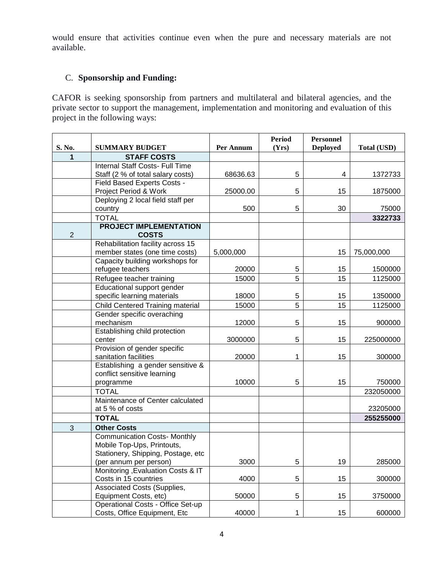would ensure that activities continue even when the pure and necessary materials are not available.

# C. **Sponsorship and Funding:**

CAFOR is seeking sponsorship from partners and multilateral and bilateral agencies, and the private sector to support the management, implementation and monitoring and evaluation of this project in the following ways:

| S. No.       | <b>SUMMARY BUDGET</b>                                            | Per Annum | <b>Period</b><br>(Yrs) | <b>Personnel</b><br><b>Deployed</b> | <b>Total (USD)</b> |
|--------------|------------------------------------------------------------------|-----------|------------------------|-------------------------------------|--------------------|
| 1            | <b>STAFF COSTS</b>                                               |           |                        |                                     |                    |
|              | Internal Staff Costs- Full Time                                  |           |                        |                                     |                    |
|              | Staff (2 % of total salary costs)                                | 68636.63  | 5                      | 4                                   | 1372733            |
|              | Field Based Experts Costs -                                      |           |                        |                                     |                    |
|              | Project Period & Work                                            | 25000.00  | 5                      | 15                                  | 1875000            |
|              | Deploying 2 local field staff per                                |           |                        |                                     |                    |
|              | country                                                          | 500       | 5                      | 30                                  | 75000              |
|              | <b>TOTAL</b>                                                     |           |                        |                                     | 3322733            |
| $\mathbf{2}$ | <b>PROJECT IMPLEMENTATION</b><br><b>COSTS</b>                    |           |                        |                                     |                    |
|              | Rehabilitation facility across 15                                |           |                        |                                     |                    |
|              | member states (one time costs)                                   | 5,000,000 |                        | 15                                  | 75,000,000         |
|              | Capacity building workshops for                                  |           |                        |                                     |                    |
|              | refugee teachers                                                 | 20000     | 5                      | 15                                  | 1500000            |
|              | Refugee teacher training                                         | 15000     | 5                      | 15                                  | 1125000            |
|              | Educational support gender<br>specific learning materials        | 18000     | 5                      | 15                                  | 1350000            |
|              | Child Centered Training material                                 | 15000     | 5                      | 15                                  | 1125000            |
|              | Gender specific overaching                                       |           |                        |                                     |                    |
|              | mechanism                                                        | 12000     | 5                      | 15                                  | 900000             |
|              | Establishing child protection                                    |           |                        |                                     |                    |
|              | center                                                           | 3000000   | 5                      | 15                                  | 225000000          |
|              | Provision of gender specific                                     |           |                        |                                     |                    |
|              | sanitation facilities                                            | 20000     | 1                      | 15                                  | 300000             |
|              | Establishing a gender sensitive &                                |           |                        |                                     |                    |
|              | conflict sensitive learning                                      |           |                        |                                     |                    |
|              | programme                                                        | 10000     | 5                      | 15                                  | 750000             |
|              | <b>TOTAL</b>                                                     |           |                        |                                     | 232050000          |
|              | Maintenance of Center calculated                                 |           |                        |                                     |                    |
|              | at 5 % of costs                                                  |           |                        |                                     | 23205000           |
|              | <b>TOTAL</b>                                                     |           |                        |                                     | 255255000          |
| 3            | <b>Other Costs</b>                                               |           |                        |                                     |                    |
|              | <b>Communication Costs- Monthly</b>                              |           |                        |                                     |                    |
|              | Mobile Top-Ups, Printouts,<br>Stationery, Shipping, Postage, etc |           |                        |                                     |                    |
|              |                                                                  | 3000      |                        | 19                                  | 285000             |
|              | (per annum per person)<br>Monitoring , Evaluation Costs & IT     |           | 5                      |                                     |                    |
|              | Costs in 15 countries                                            | 4000      | 5                      | 15                                  | 300000             |
|              | Associated Costs (Supplies,                                      |           |                        |                                     |                    |
|              | Equipment Costs, etc)                                            | 50000     | 5                      | 15                                  | 3750000            |
|              | Operational Costs - Office Set-up                                |           |                        |                                     |                    |
|              | Costs, Office Equipment, Etc                                     | 40000     | 1                      | 15                                  | 600000             |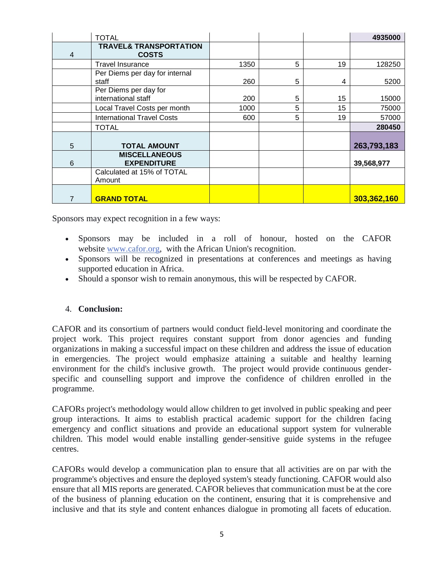|   | <b>TOTAL</b>                                      |      |   |    | 4935000     |
|---|---------------------------------------------------|------|---|----|-------------|
| 4 | <b>TRAVEL&amp; TRANSPORTATION</b><br><b>COSTS</b> |      |   |    |             |
|   | <b>Travel Insurance</b>                           | 1350 | 5 | 19 | 128250      |
|   | Per Diems per day for internal<br>staff           | 260  | 5 | 4  | 5200        |
|   | Per Diems per day for<br>international staff      | 200  | 5 | 15 | 15000       |
|   | Local Travel Costs per month                      | 1000 | 5 | 15 | 75000       |
|   | <b>International Travel Costs</b>                 | 600  | 5 | 19 | 57000       |
|   | <b>TOTAL</b>                                      |      |   |    | 280450      |
| 5 | <b>TOTAL AMOUNT</b>                               |      |   |    | 263,793,183 |
| 6 | <b>MISCELLANEOUS</b><br><b>EXPENDITURE</b>        |      |   |    | 39,568,977  |
|   | Calculated at 15% of TOTAL<br>Amount              |      |   |    |             |
| 7 | <b>GRAND TOTAL</b>                                |      |   |    | 303,362,160 |

Sponsors may expect recognition in a few ways:

- Sponsors may be included in a roll of honour, hosted on the CAFOR website [www.cafor.org,](http://www.cafor.org/) with the African Union's recognition.
- Sponsors will be recognized in presentations at conferences and meetings as having supported education in Africa.
- Should a sponsor wish to remain anonymous, this will be respected by CAFOR.

# 4. **Conclusion:**

CAFOR and its consortium of partners would conduct field-level monitoring and coordinate the project work. This project requires constant support from donor agencies and funding organizations in making a successful impact on these children and address the issue of education in emergencies. The project would emphasize attaining a suitable and healthy learning environment for the child's inclusive growth. The project would provide continuous genderspecific and counselling support and improve the confidence of children enrolled in the programme.

CAFORs project's methodology would allow children to get involved in public speaking and peer group interactions. It aims to establish practical academic support for the children facing emergency and conflict situations and provide an educational support system for vulnerable children. This model would enable installing gender-sensitive guide systems in the refugee centres.

CAFORs would develop a communication plan to ensure that all activities are on par with the programme's objectives and ensure the deployed system's steady functioning. CAFOR would also ensure that all MIS reports are generated. CAFOR believes that communication must be at the core of the business of planning education on the continent, ensuring that it is comprehensive and inclusive and that its style and content enhances dialogue in promoting all facets of education.